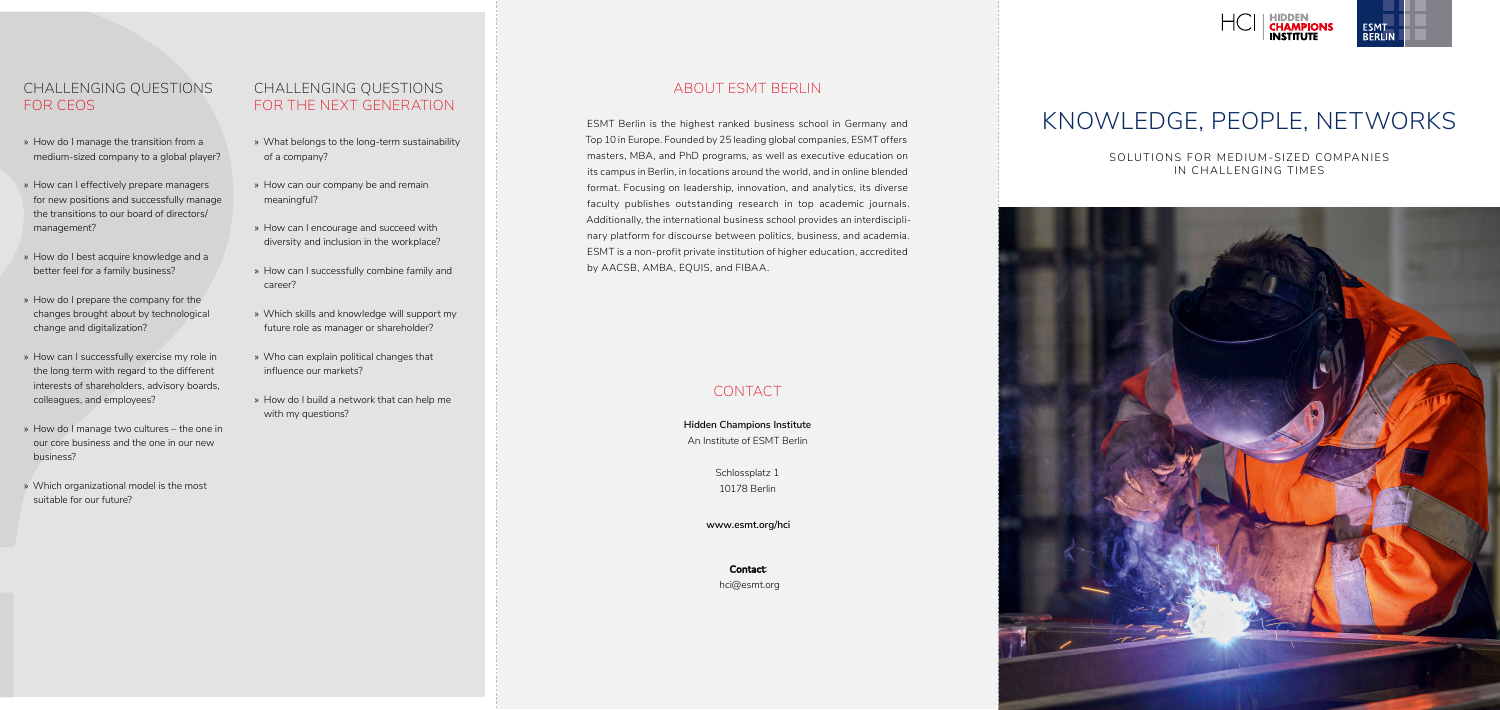SOLUTIONS FOR MEDIUM-SIZED COMPANIES IN CHALLENGING TIMES



# KNOWLEDGE, PEOPLE, NETWORKS

## ABOUT ESMT BERLIN

ESMT Berlin is the highest ranked business school in Germany and Top 10 in Europe. Founded by 25 leading global companies, ESMT offers masters, MBA, and PhD programs, as well as executive education on its campus in Berlin, in locations around the world, and in online blended format. Focusing on leadership, innovation, and analytics, its diverse faculty publishes outstanding research in top academic journals. Additionally, the international business school provides an interdisciplinary platform for discourse between politics, business, and academia. ESMT is a non-profit private institution of higher education, accredited by AACSB, AMBA, EQUIS, and FIBAA.

# CONTACT

**Hidden Champions Institute** An Institute of ESMT Berlin

> Schlossplatz 1 10178 Berlin

**www.esmt.org/hci**

**Contact:**  hci@esmt.org





# CHALLENGING QUESTIONS FOR CEOS

- » How do I manage the transition from a medium-sized company to a global player?
- » How can I effectively prepare managers for new positions and successfully manage the transitions to our board of directors/ management?
- » How do I best acquire knowledge and a better feel for a family business?
- » How do I prepare the company for the changes brought about by technological change and digitalization?
- » How can I successfully exercise my role in the long term with regard to the different interests of shareholders, advisory boards, colleagues, and employees?
- » How do I manage two cultures the one in our core business and the one in our new business?
- » Which organizational model is the most suitable for our future?

## CHALLENGING QUESTIONS FOR THE NEXT GENERATION

- » What belongs to the long-term sustainability of a company?
- » How can our company be and remain meaningful?
- » How can I encourage and succeed with diversity and inclusion in the workplace?
- » How can I successfully combine family and career?
- » Which skills and knowledge will support my future role as manager or shareholder?
- » Who can explain political changes that influence our markets?
- » How do I build a network that can help me with my questions?